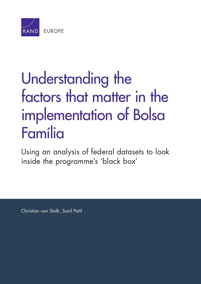

# Understanding the [factors that matter in the](http://www.rand.org/pubs/research_reports/RR705.html)  implementation of Bolsa Família

Using an analysis of federal datasets to look inside the programme's 'black box'

Christian van Stolk, Sunil Patil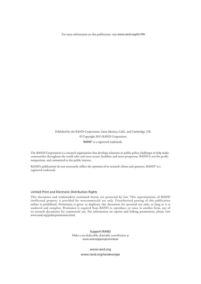For more information on this publication, visit [www.rand.org/t/rr705](http://www.rand.org/t/rr705)

Published by the RAND Corporation, Santa Monica, Calif., and Cambridge, UK © Copyright 2015 RAND Corporation RAND<sup>®</sup> is a registered trademark.

The RAND Corporation is a research organisation that develops solutions to public policy challenges to help make communities throughout the world safer and more secure, healthier and more prosperous. RAND is not-for-profit, nonpartisan, and committed to the public interest.

RAND's publications do not necessarily reflect the opinions of its research clients and sponsors. RAND<sup>®</sup> is a registered trademark.

#### Limited Print and Electronic Distribution Rights

This document and trademark(s) contained herein are protected by law. This representation of RAND intellectual property is provided for noncommercial use only. Unauthorized posting of this publication online is prohibited. Permission is given to duplicate this document for personal use only, as long as it is unaltered and complete. Permission is required from RAND to reproduce, or reuse in another form, any of its research documents for commercial use. For information on reprint and linking permissions, please visit [www.rand.org/pubs/permissions.html.](http://www.rand.org/pubs/permissions.html)

> Support RAND Make a tax-deductible charitable contribution at [www.rand.org/giving/contribute](http://www.rand.org/giving/contribute)

> > [www.rand.org](http://www.rand.org)

[www.rand.org/randeurope](http://www.rand.org/randeurope)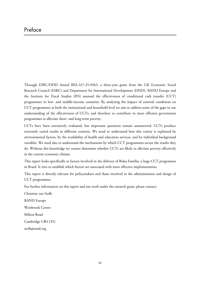Through ESRC/DFID Award RES-167-25-0563, a three-year grant from the UK Economic Social Research Council (ESRC) and Department for International Development (DFID), RAND Europe and the Institute for Fiscal Studies (IFS) assessed the effectiveness of conditional cash transfer (CCT) programmes in low- and middle-income countries. By analysing the impact of external conditions on CCT programmes at both the institutional and household level we aim to address some of the gaps in our understanding of the effectiveness of CCTs, and therefore to contribute to more efficient government programmes to alleviate short- and long-term poverty.

CCTs have been extensively evaluated, but important questions remain unanswered. CCTs produce extremely varied results in different contexts. We need to understand how this variety is explained by environmental factors, by the availability of health and education services, and by individual background variables. We need also to understand the mechanisms by which CCT programmes secure the results they do. Without this knowledge we cannot determine whether CCTs are likely to alleviate poverty effectively in the current economic climate.

This report looks specifically at factors involved in the delivery of Bolsa Família, a large CCT programme in Brazil. It tries to establish which factors are associated with more effective implementation.

This report is directly relevant for policymakers and those involved in the administration and design of CCT programmes.

For further information on this report and our work under the research grant, please contact:

Christian van Stolk RAND Europe Westbrook Centre Milton Road Cambridge CB4 1YG [stolk@rand.org](mailto:stolk@rand.org)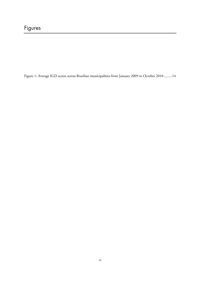Figure 1: Average IGD scores across Brazilian municipalities from January 2009 to October 2010 ......... 14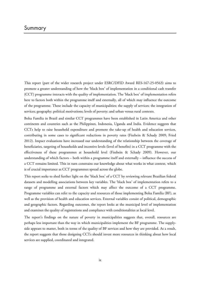This report (part of the wider research project under ESRC/DFID Award RES-167-25-0563) aims to promote a greater understanding of how the 'black box' of implementation in a conditional cash transfer (CCT) programme interacts with the quality of implementation. The 'black box' of implementation refers here to factors both within the programme itself and externally, all of which may influence the outcome of the programme. These include the capacity of municipalities; the supply of services; the integration of services; geography; political motivations; levels of poverty; and urban versus rural contexts.

Bolsa Família in Brazil and similar CCT programmes have been established in Latin America and other continents and countries such as the Philippines, Indonesia, Uganda and India. Evidence suggests that CCTs help to raise household expenditure and promote the take-up of health and education services, contributing in some cases to significant reductions in poverty rates (Fiszbein & Schady 2009; Fried 2012). Impact evaluations have increased our understanding of the relationship between the coverage of beneficiaries, targeting of households and incentive levels (level of benefits) in a CCT programme with the effectiveness of these programmes at household level (Fiszbein & Schady 2009). However, our understanding of which factors – both within a programme itself and externally – influence the success of a CCT remains limited. This in turn constrains our knowledge about what works in what context, which is of crucial importance as CCT programmes spread across the globe.

This report seeks to shed further light on the 'black box' of a CCT by reviewing relevant Brazilian federal datasets and modelling associations between key variables. The 'black box' of implementation refers to a range of programme and external factors which may affect the outcome of a CCT programme. Programme variables can refer to the capacity and resources of those implementing Bolsa Família (BF), as well as the provision of health and education services. External variables consist of political, demographic and geographic factors. Regarding outcomes, the report looks at the municipal level of implementation and examines the quality of registrations and compliance with conditionalities at local level.

The report's findings on the nature of poverty in municipalities suggests that, overall, resources are perhaps less important than the way in which municipalities implement the BF programme. The supplyside appears to matter, both in terms of the quality of BF services and how they are provided. As a result, the report suggests that those designing CCTs should invest more resources in thinking about how local services are supplied, coordinated and integrated.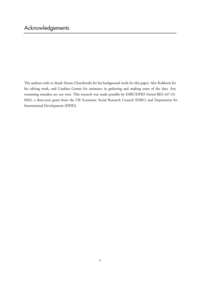The authors wish to thank Simon Chorzlewski for his background work for this paper, Alex Kokkoris for his editing work, and Catalina Gomez for assistance in gathering and making sense of the data. Any remaining mistakes are our own. This research was made possible by ESRC/DFID Award RES-167-25- 0563, a three-year grant from the UK Economic Social Research Council (ESRC) and Department for International Development (DFID).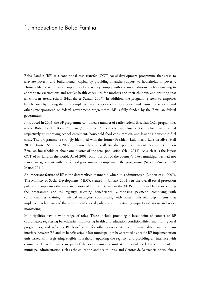Bolsa Família (BF) is a conditional cash transfer (CCT) social-development programme that seeks to alleviate poverty and build human capital by providing financial support to households in poverty. Households receive financial support as long as they comply with certain conditions such as agreeing to appropriate vaccinations and regular health check-ups for mothers and their children, and ensuring that all children attend school (Fiszbein & Schady 2009). In addition, the programme seeks to empower beneficiaries by linking them to complementary services such as local social and municipal services, and other state-sponsored or federal government programmes. BF is fully funded by the Brazilian federal government.

Introduced in 2003, the BF programme combined a number of earlier federal Brazilian CCT programmes – the Bolsa Escola, Bolsa Alimentação, Cartão Alimentação and Auxilio Gas, which were aimed respectively at improving school enrolment, household food consumption, and lowering household fuel costs. The programme is strongly identified with the former President Luis Inàcio Lula da Silva (Hall 2011; Hunter & Power 2007). It currently covers all Brazilian poor, equivalent to over 13 million Brazilian households or about one-quarter of the total population (Hall 2011). As such it is the largest CCT of its kind in the world. As of 2008, only four out of the country's 5564 municipalities had not signed an agreement with the federal government to implement the programme (Sánchez-Ancochea & Mattei 2011).

An important feature of BF is the decentralised manner in which it is administered (Lindert et al. 2007). The Ministry of Social Development (MDS), created in January 2004, sets the overall social protection policy and supervises the implementation of BF. Secretariats in the MDS are responsible for overseeing the programme and its registry; selecting beneficiaries; authorising payment; complying with conditionalities; training municipal managers; coordinating with other ministerial departments that implement other parts of the government's social policy; and undertaking impact evaluations and wider monitoring.

Municipalities have a wide range of roles. These include providing a local point of contact or BF coordinator; registering beneficiaries, monitoring health and education conditionalities; monitoring local programmes; and referring BF beneficiaries for other services. As such, municipalities are the main interface between BF and its beneficiaries. Most municipalities have created a specific BF implementation unit tasked with registering eligible households, updating the registry, and providing an interface with claimants. These BF units are part of the social assistance unit at municipal level. Other units of the municipal administration such as the education and health units, and Centros de Referência de Assitência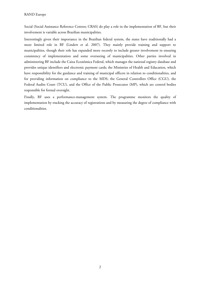Social (Social Assistance Reference Centres; CRAS) do play a role in the implementation of BF, but their involvement is variable across Brazilian municipalities.

Interestingly given their importance in the Brazilian federal system, the states have traditionally had a more limited role in BF (Lindert et al. 2007). They mainly provide training and support to municipalities, though their role has expanded more recently to include greater involvement in ensuring consistency of implementation and some overseeing of municipalities. Other parties involved in administering BF include the Caixa Econômica Federal, which manages the national registry database and provides unique identifiers and electronic payment cards; the Ministries of Health and Education, which have responsibility for the guidance and training of municipal officers in relation to conditionalities, and for providing information on compliance to the MDS; the General Controllers Office (CGU), the Federal Audits Court (TCU), and the Office of the Public Prosecutor (MP), which are control bodies responsible for formal oversight.

Finally, BF uses a performance-management system. The programme monitors the quality of implementation by tracking the accuracy of registrations and by measuring the degree of compliance with conditionalities.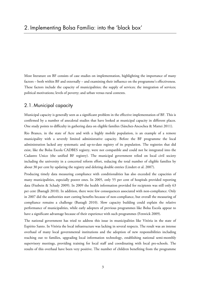Most literature on BF consists of case studies on implementation, highlighting the importance of many factors – both within BF and externally – and examining their influence on the programme's effectiveness. These factors include the capacity of municipalities; the supply of services; the integration of services; political motivations; levels of poverty; and urban versus rural contexts.

## 2.1. Municipal capacity

Municipal capacity is generally seen as a significant problem in the effective implementation of BF. This is confirmed by a number of anecdotal studies that have looked at municipal capacity in different places. One study points to difficulty in gathering data on eligible families (Sánchez-Ancochea & Mattei 2011).

Rio Branco, in the state of Acre and with a highly mobile population, is an example of a remote municipality with a severely limited administrative capacity. Before the BF programme the local administration lacked any systematic and up-to-date registry of its population. The registries that did exist, like the Bolsa Escola CADBES registry, were not compatible and could not be integrated into the Cadastro Unico (the unified BF registry). The municipal government relied on local civil society including the university in a concerted reform effort, reducing the total number of eligible families by about 30 per cent by updating the registry and deleting double entries (Lindert et al. 2007).

Producing timely data measuring compliance with conditionalities has also exceeded the capacities of many municipalities, especially poorer ones. In 2005, only 55 per cent of hospitals provided reporting data (Fiszbein & Schady 2009). In 2009 the health information provided for recipients was still only 63 per cent (Bastagli 2010). In addition, there were few consequences associated with non-compliance. Only in 2007 did the authorities start cutting benefits because of non-compliance, but overall the measuring of compliance remains a challenge (Bastagli 2010). Slow capacity building could explain the relative performance of municipalities, while early adopters of previous programmes like Bolsa Escola appear to have a significant advantage because of their experience with such programmes (Fenwick 2009).

The national government has tried to address this issue in municipalities like Vitória in the state of Espírito Santo. In Vitória the local infrastructure was lacking in several respects. The result was an intense overhaul of many local governmental institutions and the adoption of new responsibilities including reaching out to families, upgrading local information technology, establishing national semi-monthly supervisory meetings, providing training for local staff and coordinating with local pre-schools. The results of this overhaul have been very positive. The number of children benefiting from the programme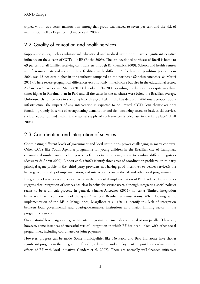tripled within two years, malnutrition among that group was halved to seven per cent and the risk of malnutrition fell to 12 per cent (Lindert et al. 2007).

# 2.2. Quality of education and health services

Supply-side issues, such as substandard educational and medical institutions, have a significant negative influence on the success of CCTs like BF (Rocha 2009). The less-developed northeast of Brazil is home to 49 per cent of all families receiving cash transfers through BF (Fenwick 2009). Schools and health centres are often inadequate and access to these facilities can be difficult. Public health expenditure per capita in 2006 was 42 per cent higher in the southeast compared to the northeast (Sánchez-Ancochea & Mattei 2011). These severe geographical differences exist not only in healthcare but also in the educational sector. As Sánchez-Ancochea and Mattei (2011) describe it: "In 2000 spending in education per capita was three times higher in Roraima than in Pará and all the states in the northeast were below the Brazilian average. Unfortunately, differences in spending have changed little in the last decade." Without a proper supply infrastructure, the impact of any intervention is expected to be limited. CCTs "can themselves only function properly in terms of strengthening demand for and democratizing access to basic social services such as education and health if the actual supply of such services is adequate in the first place" (Hall 2008).

# 2.3. Coordination and integration of services

Coordinating different levels of government and local institutions proves challenging in many contexts. Other CCTs like Youth Agent, a programme for young children in the Brazilian city of Campinas, encountered similar issues, including serving families twice or being unable to combine different registries (Schwartz & Abreu 2007). Lindert et al. (2007) identify three areas of coordination problems: third-party principal agent problems (i.e. third party providers not having good incentives to deliver services); the heterogeneous quality of implementation; and interaction between the BF and other local programmes.

Integration of services is also a clear factor in the successful implementation of BF. Evidence from studies suggests that integration of services has clear benefits for service users, although integrating social policies seems to be a difficult process. In general, Sánchez-Ancochea (2011) notices a "limited integration between different components of the system" in local Brazilian administrations. When looking at the implementation of the BF in Manguinhos, Magalhães et al. (2011) identify this lack of integration between local governmental and quasi-governmental institutions as a major limiting factor in the programme's success.

On a national level, large-scale governmental programmes remain disconnected or run parallel. There are, however, some instances of successful vertical integration in which BF has been linked with other social programmes, including coordinated or joint payments.

However, progress can be made. Some municipalities like São Paolo and Belo Horizonte have shown significant progress in the integration of health, education and employment support by coordinating the efforts of BF with local initiatives (Lindert et al. 2007). These are normally well-financed initiatives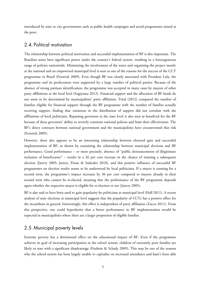introduced by state or city governments such as public health campaigns and social programmes aimed at the poor.

#### 2.4. Political motivation

The relationship between political motivation and successful implementation of BF is also important. The Brazilian states have significant power under the country's federal system, resulting in a heterogeneous range of policies nationwide. Minimising the involvement of the states and organising the project mostly at the national and an empowered municipal level is seen as one of the reasons for the success of the CCT programme in Brazil (Fenwick 2009). Even though BF was closely associated with President Lula, the programme and its predecessors were supported by a large number of political parties. Because of the absence of strong partisan identification, the programme was accepted in many cases by mayors of other party affiliations at the local level (Sugiyama 2012). Financial support and the allocation of BF funds do not seem to be determined by municipalities' party affiliation. Fried (2012) compared the number of families eligible for financial support through the BF programme with the number of families actually receiving support, finding that variations in the distribution of support did not correlate with the affiliations of local politicians. Bypassing governors at the state level is also seen as beneficial for the BF because of these governors' ability to severely constrain national policies and limit their effectiveness. The BF's direct contracts between national government and the municipalities have circumvented that risk (Fenwick 2009).

However, there also appears to be an interesting relationship between electoral gain and successful implementation of BF, as shown by examining the relationship between municipal elections and BF performance. Good performance – or more precisely, absence of "public denouncements of illegitimate inclusion of beneficiaries" – results in a 26 per cent increase in the chance of winning a subsequent election (Janvry 2005; Janvry, Finan & Sadoulet 2010), and this positive influence of successful BF programmes on election results seems to be understood by local politicians. If a mayor is running for a second term, the programme's impact increases by 36 per cent compared to mayors already in their second term who cannot be re-elected, meaning that the performance of the BF programme depends upon whether the respective mayor is eligible for re-election or not (Janvry 2005).

BF is also said to have been used to gain popularity by politicians at municipal level (Hall 2011). A recent analysis of state elections at municipal level suggests that the popularity of CCTs has a positive effect for the incumbent in general. Interestingly, this effect is independent of party affiliation (Zucco 2011). From this perspective, one could hypothesise that a better performance in BF implementation would be expected in municipalities where there are a larger proportion of eligible families.

#### 2.5. Municipal poverty levels

Extreme poverty has a detrimental effect on the educational impact of BF. Even if the programme achieves its goal of increasing participation in the school system, children of extremely poor families are likely to start with a significant disadvantage (Fiszbein & Schady 2009). This may be one of the reasons why the school system has been largely unable to capitalise on increased attendance and hasn't been able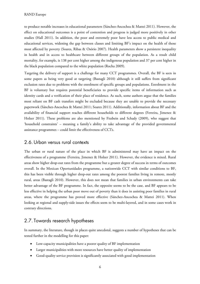to produce notable increases in educational parameters (Sánchez-Ancochea & Mattei 2011). However, the effect on educational outcomes is a point of contention and progress is judged more positively in other studies (Hall 2011). In addition, the poor and extremely poor have less access to public medical and educational services, widening the gap between classes and limiting BF's impact on the health of those most affected by poverty (Soares, Ribas & Osório 2007). Health parameters show a persistent inequality in health and in access to healthcare between different groups of the population. As a result child mortality, for example, is 138 per cent higher among the indigenous population and 37 per cent higher in the black population compared to the white population (Rocha 2009).

Targeting the delivery of support is a challenge for many CCT programmes. Overall, the BF is seen in some papers as being very good at targeting (Bastagli 2010) although it still suffers from significant exclusion rates due to problems with the enrolment of specific groups and populations. Enrolment in the BF is voluntary but requires potential beneficiaries to provide specific items of information such as identity cards and a verification of their place of residence. As such, some authors argue that the families most reliant on BF cash transfers might be excluded because they are unable to provide the necessary paperwork (Sánchez-Ancochea & Mattei 2011; Soares 2011). Additionally, information about BF and the availability of financial support reaches different households to different degrees (Ferreira, Jimenez & Holzer 2011). These problems are also mentioned by Fiszbein and Schady (2009), who suggest that 'household constraints' – meaning a family's ability to take advantage of the provided governmental assistance programmes – could limit the effectiveness of CCTs.

#### 2.6.Urban versus rural contexts

The urban or rural nature of the place in which BF is administered may have an impact on the effectiveness of a programme (Ferreira, Jimenez & Holzer 2011). However, the evidence is mixed. Rural areas show higher drop-out rates from the programme but a greater degree of success in terms of outcomes overall. In the Mexican Oportunidades programme, a nationwide CCT with similar conditions to BF, this has been visible through higher drop-out rates among the poorest families living in remote, mostly rural, areas (Bastagli 2010). However, this does not mean that families in urban environments can take better advantage of the BF programme. In fact, the opposite seems to be the case, and BF appears to be less effective in helping the urban poor move out of poverty than it does in assisting poor families in rural areas, where the programme has proved more effective (Sánchez-Ancochea & Mattei 2011). When looking at regional and supply-side issues the effects seem to be multi-layered, and in some cases work in contrary directions.

# 2.7. Towards research hypotheses

In summary, the literature, though in places quite anecdotal, suggests a number of hypotheses that can be tested further in the modelling for this paper:

- Low-capacity municipalities have a poorer quality of BF implementation
- Larger municipalities with more resources have better quality of implementation
- Good-quality service provision is significantly associated with good implementation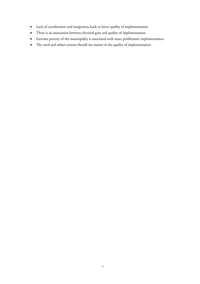- Lack of coordination and integration leads to lower quality of implementation
- There is an association between electoral gain and quality of implementation
- Extreme poverty of the municipality is associated with more problematic implementation
- The rural and urban context should not matter in the quality of implementation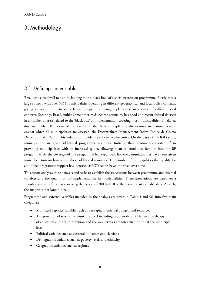# 3. Methodology

# 3.1. Defining the variables

Brazil lends itself well to a study looking at the 'black box' of a social protection programme. Firstly, it is a large country with over 5564 municipalities operating in different geographical and local policy contexts, giving an opportunity to see a federal programme being implemented in a range of different local contexts. Secondly, Brazil, unlike some other mid-income countries, has good and recent federal datasets in a number of areas related to the 'black box' of implementation covering most municipalities. Finally, as discussed earlier, BF is one of the few CCTs that have an explicit quality-of-implementation measure against which all municipalities are assessed, the Decentralized Management Index (Índice de Gestão Descentralizada; IGD). This index also provides a performance incentive. On the basis of the IGD score, municipalities are given additional programme resources. Initially, these resources consisted of an providing municipalities with an increased quota, allowing them to enrol new families into the BF programme. As the coverage of the programme has expanded, however, municipalities have been given more discretion on how to use these additional resources. The number of municipalities that qualify for additional programme support has increased as IGD scores have improved over time.

This report analyses these datasets and seeks to establish the associations between programme and external variables and the quality of BF implementation in municipalities. These associations are based on a snapshot analysis of the data covering the period of 2009–2010 or the most recent available data. As such, the analysis is not longitudinal.

Programme and external variables included in the analysis are given in Table 1 and fall into five main categories:

- Municipal capacity variables such as per capita municipal budgets and resources
- The provision of services at municipal level including supply-side variables such as the quality of education and health provision and the way services are integrated or not at the municipal level
- Political variables such as electoral outcomes and elections
- Demographic variables such as poverty levels and ethnicity
- Geographic variables such as regions.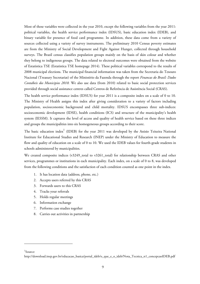Most of these variables were collected in the year 2010, except the following variables from the year 2011: political variables, the health service performance index (IDSUS), basic education index (IDEB), and binary variable for presence of food card programme. In addition, these data come from a variety of sources collected using a variety of survey instruments. The preliminary 2010 Census poverty estimates are from the Ministry of Social Development and Fight Against Hunger, collected through household surveys. The Brazil census classifies population groups mainly on the basis of skin colour and whether they belong to indigenous groups. The data related to electoral outcomes were obtained from the website of Estatistica TSE (Estatistica TSE homepage 2014). These political variables correspond to the results of 2008 municipal elections. The municipal financial information was taken from the Secretaria do Tesouro Nacional (Treasury Secretariat) of the Ministério da Fazenda through the report *Financas do Brasil: Dados Contábeis dos Municipios 2010.* We also use data (from 2010) related to basic social protection services provided through social assistance centres called Centros de Referência de Assistência Social (CRAS).

The health service performance index (IDSUS) for year 2011 is a composite index on a scale of 0 to 10. The Ministry of Health assigns this index after giving consideration to a variety of factors including population, socioeconomic background and child mortality. IDSUS encompasses three sub-indices: socioeconomic development (IDSE), health conditions (ICS) and structure of the municipality's health system (IESSM). It captures the level of access and quality of health service based on these three indices and groups the municipalities into six homogeneous groups according to their score.

The basic education index<sup>1</sup> (IDEB) for the year 2011 was developed by the Anisio Teixeira National Institute for Educational Studies and Research (INEP) under the Ministry of Education to measure the flow and quality of education on a scale of 0 to 10. We used the IDEB values for fourth-grade students in schools administered by municipalities.

We created composite indices (v3249\_total to v3261\_total) for relationship between CRAS and other services, programmes or institutions in each municipality. Each index, on a scale of 0 to 8, was developed from the following conditions and the satisfaction of each condition counted as one point in the index.

- 1. It has location data (address, phone, etc.)
- 2. Accepts users referred by this CRAS
- 3. Forwards users to this CRAS
- 4. Tracks your referrals
- 5. Holds regular meetings
- 6. Information exchange
- 7. Performs case studies together
- 8. Carries out activities in partnership

1 Source:

 $\overline{a}$ 

[http://download.inep.gov.br/educacao\\_basica/portal\\_ideb/o\\_que\\_e\\_o\\_ideb/Nota\\_Tecnica\\_n1\\_concepcaoIDEB.pdf](http://download.inep.gov.br/educacao_basica/portal_ideb/o_que_e_o_ideb/Nota_Tecnica_n1_concepcaoIDEB.pdf)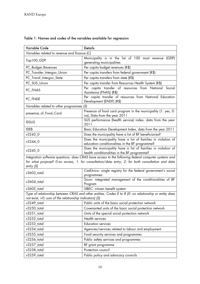| <b>Variable Code</b>                                   | <b>Details</b>                                                                                                                                                                                          |  |  |  |  |
|--------------------------------------------------------|---------------------------------------------------------------------------------------------------------------------------------------------------------------------------------------------------------|--|--|--|--|
| Variables related to revenue and finance (C)           |                                                                                                                                                                                                         |  |  |  |  |
| Top100_GDP                                             | Municipality is in the list of 100 most revenue<br>(GDP)<br>generating municipalities                                                                                                                   |  |  |  |  |
| PC_Budget_Revenues                                     | Per capita budget revenues (R\$)                                                                                                                                                                        |  |  |  |  |
| PC_Transfer_Intergov_Union                             | Per capita transfers from federal government (R\$)                                                                                                                                                      |  |  |  |  |
| PC_Transf_Intergov_State                               | Per capita transfers from state (R\$)                                                                                                                                                                   |  |  |  |  |
| PC_SUS_Union                                           | Per capita transfer from Resources Health System (R\$)                                                                                                                                                  |  |  |  |  |
| PC_FNAS                                                | Per capita transfer of resources from National Social<br>Assistance (FNAS) (R\$)                                                                                                                        |  |  |  |  |
| PC_FNDE                                                | Per capita transfer of resources from National Education<br>Development (ENDF) (R\$)                                                                                                                    |  |  |  |  |
| Variables related to other programmes (S)              |                                                                                                                                                                                                         |  |  |  |  |
| presence_of_Food_Card                                  | Presence of food card program in the municipality (1: yes, 0:<br>no), Data from the year 2011                                                                                                           |  |  |  |  |
| <b>IDSUS</b>                                           | SUS performance (health service) index, data from the year<br>2011                                                                                                                                      |  |  |  |  |
| <b>IDEB</b>                                            | Basic Education Development Index, data from the year 2011                                                                                                                                              |  |  |  |  |
| v32430                                                 | Does the municipality have a list of BF beneficiaries?                                                                                                                                                  |  |  |  |  |
| $v3244_0$                                              | Does the municipality have a list of families in violation of<br>education conditionalities in the BF programme?                                                                                        |  |  |  |  |
| v32450                                                 | Does the municipality have a list of families in violation of<br>health conditionalities in the BF programme?                                                                                           |  |  |  |  |
| entry (S)                                              | Integration software questions: does CRAS have access to the following federal computer systems and<br>for what purpose? O:no access, 1: for consultation/data entry, 2: for both consultation and data |  |  |  |  |
| v3603_total                                            | CadÚnico: single registry for the federal government's social<br>programmes                                                                                                                             |  |  |  |  |
| v3604_total                                            | Sicon: integrated management of the conditionalities of BF<br>Program                                                                                                                                   |  |  |  |  |
| v3605_total                                            | SIBEC: citizen benefit system                                                                                                                                                                           |  |  |  |  |
|                                                        | Type of relationship between CRAS and other entities. Codes 0 to 8 (0: no relationship or entity does                                                                                                   |  |  |  |  |
| not exist, >0: sum of the relationship indicators) (S) |                                                                                                                                                                                                         |  |  |  |  |
| v3249_total                                            | Public units of the basic social protection network                                                                                                                                                     |  |  |  |  |
| $v3250$ _total                                         | Covenanted units of the basic social protection network                                                                                                                                                 |  |  |  |  |
| $v3251$ _total                                         | Units of the special social protection network                                                                                                                                                          |  |  |  |  |
| v3252 total                                            | Health services                                                                                                                                                                                         |  |  |  |  |
| v3253_total                                            | <b>Education services</b>                                                                                                                                                                               |  |  |  |  |
| v3254_total                                            | Agencies/services related to labour and employment                                                                                                                                                      |  |  |  |  |
| $v3255$ _total                                         | Food security services and programmes                                                                                                                                                                   |  |  |  |  |
| v3256_total                                            | Public safety services and programmes                                                                                                                                                                   |  |  |  |  |
| v3257_total                                            | BF grant programme                                                                                                                                                                                      |  |  |  |  |
| $v3258$ _total                                         | Protection council                                                                                                                                                                                      |  |  |  |  |
| v3259_total                                            | Public policy and advocacy councils                                                                                                                                                                     |  |  |  |  |

# Table 1: Names and codes of the variables available for regression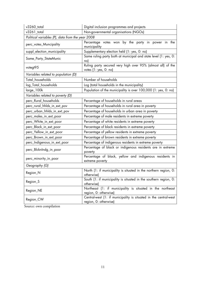| v3260_total                                      | Digital inclusion programmes and projects                                                 |  |  |  |  |  |
|--------------------------------------------------|-------------------------------------------------------------------------------------------|--|--|--|--|--|
| v3261_total                                      | Non-governmental organisations (NGOs)                                                     |  |  |  |  |  |
| Political variables (P), data from the year 2008 |                                                                                           |  |  |  |  |  |
| perc_votes_Muncipality                           | Percentage votes won by the party in power in the<br>municipality                         |  |  |  |  |  |
| suppl_election_municipality                      | Supplementary election held (1: yes, 0: no)                                               |  |  |  |  |  |
| Same_Party_StateMunic                            | Same ruling party both at municipal and state level (1: yes, 0:<br>$\mathsf{no}$          |  |  |  |  |  |
| votegt95                                         | Ruling party secured very high over 95% (almost all) of the<br>votes (1: yes, 0: no)      |  |  |  |  |  |
| Variables related to population (D)              |                                                                                           |  |  |  |  |  |
| Total_households                                 | Number of households                                                                      |  |  |  |  |  |
| log_Total_households                             | Log (total households in the municipality)                                                |  |  |  |  |  |
| large_100k                                       | Population of the municipality is over 100,000 (1: yes, 0: no)                            |  |  |  |  |  |
| Variables related to poverty (D)                 |                                                                                           |  |  |  |  |  |
| perc_Rural_households                            | Percentage of households in rural areas                                                   |  |  |  |  |  |
| perc_rural_hhlds_in_ext_pov                      | Percentage of households in rural area in poverty                                         |  |  |  |  |  |
| perc_urban_hhlds_in_ext_pov                      | Percentage of households in urban area in poverty                                         |  |  |  |  |  |
| perc_males_in_ext_poor                           | Percentage of male residents in extreme poverty                                           |  |  |  |  |  |
| perc_White_in_ext_poor                           | Percentage of white residents in extreme poverty                                          |  |  |  |  |  |
| perc_Black_in_ext_poor                           | Percentage of black residents in extreme poverty                                          |  |  |  |  |  |
| perc_Yellow_in_ext_poor                          | Percentage of yellow residents in extreme poverty                                         |  |  |  |  |  |
| perc_Brown_in_ext_poor                           | Percentage of brown residents in extreme poverty                                          |  |  |  |  |  |
| perc_Indigenous_in_ext_poor                      | Percentage of indigenous residents in extreme poverty                                     |  |  |  |  |  |
| perc_BlcknIndg_in_poor                           | Percentage of black or indigenous residents are in extreme<br>poverty                     |  |  |  |  |  |
| perc_minority_in_poor                            | Percentage of black, yellow and indigenous residents in<br>extreme poverty                |  |  |  |  |  |
| Geography (G)                                    |                                                                                           |  |  |  |  |  |
| Region_N                                         | North (1: if municipality is situated in the northern region, 0:<br>otherwise)            |  |  |  |  |  |
| Region_S                                         | South (1: if municipality is situated in the southern region, 0:<br>otherwise)            |  |  |  |  |  |
| Region_NE                                        | Northeast (1: if municipality is situated in the northeast<br>region, 0: otherwise)       |  |  |  |  |  |
| Region_CW                                        | Central-west (1: if municipality is situated in the central-west<br>region, 0: otherwise) |  |  |  |  |  |

Source: own compilation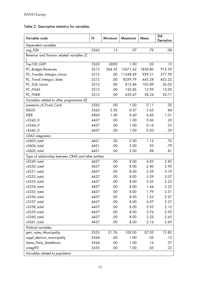# Table 2: Descriptive statistics for variables

| Variable code                                        | N            | Minimum    | Maximum      | Mean       | Std<br>Deviation |
|------------------------------------------------------|--------------|------------|--------------|------------|------------------|
| Dependent variables                                  |              |            |              |            |                  |
| avg_IGD                                              | 5565         | .13        | .97          | .79        | .08              |
| Revenue and finance related variables (C             |              |            |              |            |                  |
|                                                      |              |            |              |            |                  |
| Top100_GDP                                           | 5565         | .0000      | 1.00         | .02        | .13              |
| PC_Budget_Revenues                                   | 5212         | 364.32     | 13671.62     | 1858.80    | 915.39           |
| PC_Transfer_Intergov_Union                           | 5212         | .00        | 11548.69     | 929.51     | 577.59           |
| PC_Transf_Intergov_State                             | 5212         | .00        | 8259.79      | 443.28     | 452.22           |
| PC_SUS_Union                                         | 5212         | .00        | 813.86       | 105.89     | 56.03            |
| PC_FNAS                                              | 5212         | .00        | 120.85       | 13.99      | 13.00            |
| PC_FNDE                                              | 5212         | .00        | 630.67       | 38.24      | 20.71            |
| Variables related to other programmes (S)            |              |            |              |            |                  |
| presence_of_Food_Card                                | 5565         | .00        | 1.00         | 0.11       | .32              |
| <b>IDSUS</b>                                         | 5563         | 2.50       | 8.37         | 5.65       | .84              |
| <b>IDEB</b>                                          | 4960         | 1.40       | 8.60         | 4.42       | 1.01             |
| v3243 0                                              | 4437         | .00        | 1.00         | 0.06       | .23              |
| v3244_0                                              | 4437         | .00        | 1.00         | 0.16       | .35              |
| v32450                                               | 4437         | .00        | 1.00         | 0.20       | .39              |
| <b>CRAS</b> integration                              |              |            |              |            |                  |
| v3603_total                                          | 4421         | .00        | 2.00         | 1.12       | .76              |
| v3604_total                                          | 4421         | .00        | 2.00         | .93        | .79              |
| $v3605$ _total                                       | 4421         | .00        | 2.00         | .88        | .81              |
| Type of relationship between CRAS and other entities |              |            |              |            |                  |
| v3249_total                                          | 4437         | .00        | 8.00         | 4.83       | 2.82             |
| $v3250$ _total                                       | 4437         | .00        | 8.00         | 2.40       | 2.90             |
| $v3251$ _total                                       | 4437         | .00        | 8.00         | 3.39       | 3.19             |
| v3252_total                                          | 4437         | .00        | 8.00         | 5.39       | 2.07             |
| v3253_total                                          | 4437         | .00        | 8.00         | 5.05       | 2.23             |
| $v3254$ _total                                       | 4437         | .00        | 8.00         | 1.44       | 2.22             |
| $v3255$ _total                                       | 4437         | .00        | 8.00         | 1.79       | 2.51             |
| $v3256$ _total                                       | 4437         | .00        | 8.00         | 1.63       | 2.27             |
| v3257_total                                          | 4437         | .00        | 8.00         | 6.07       | 2.27             |
| $v3258$ _total                                       | 4437         | .00        | 8.00         | 5.95       | 2.15             |
| v3259_total                                          | 4437         | .00        | 8.00         | 3.76       | 2.95             |
| v3260_total                                          | 4437         | .00        | 8.00         | 2.53       | 2.63             |
| v3261_total                                          | 4437         | .00        | 8.00         | 2.16       | 2.69             |
| Political variables                                  |              |            |              |            |                  |
| perc_votes_Muncipality                               | 5555         | 21.76      | 100.00       | 57.03      | 13.82            |
| suppl_election_municipality                          | 5564         | .00        | 1.00         | .02        | .15              |
|                                                      |              |            |              |            |                  |
|                                                      |              |            |              |            |                  |
| Variables related to population                      |              |            |              |            |                  |
| Same_Party_StateMunic<br>votegt95                    | 5564<br>5555 | .00<br>.00 | 1.00<br>1.00 | .16<br>.05 | .37<br>.22       |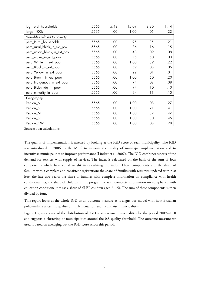| log_Total_households         | 5565 | 5.48 | 15.09 | 8.20 | 1.14 |
|------------------------------|------|------|-------|------|------|
| large_100k                   | 5565 | .00  | 1.00  | .05  | .22  |
| Variables related to poverty |      |      |       |      |      |
| perc_Rural_households        | 5565 | .00  | .95   | .35  | .21  |
| perc_rural_hhlds_in_ext_pov  | 5565 | .00  | .86   | .16  | .15  |
| perc_urban_hhlds_in_ext_pov  | 5565 | .00  | .48   | .09  | .08  |
| perc_males_in_ext_poor       | 5565 | .00  | .75   | .50  | .03  |
| perc_White_in_ext_poor       | 5565 | .00  | 1.00  | .39  | .22  |
| perc_Black_in_ext_poor       | 5565 | .00  | .59   | .08  | .06  |
| perc_Yellow_in_ext_poor      | 5565 | .00  | .22   | .01  | .01  |
| perc_Brown_in_ext_poor       | 5565 | .00  | 1.00  | .50  | .20  |
| perc_Indigenous_in_ext_poor  | 5565 | .00  | .94   | .02  | .08  |
| perc_BlcknIndg_in_poor       | 5565 | .00  | .94   | .10  | .10  |
| perc_minority_in_poor        | 5565 | .00  | .94   | .11  | .10  |
| Geography                    |      |      |       |      |      |
| Region_N                     | 5565 | .00  | 1.00  | .08  | .27  |
| Region_S                     | 5565 | .00  | 1.00  | .21  | .41  |
| Region_NE                    | 5565 | .00  | 1.00  | .32  | .47  |
| Region_SE                    | 5565 | .00  | 1.00  | .30  | .46  |
| Region_CW                    | 5565 | .00  | 1.00  | .08  | .28  |

Source: own calculations

The quality of implementation is assessed by looking at the IGD score of each municipality. The IGD was introduced in 2006 by the MDS to measure the quality of municipal implementation and to incentivise municipalities to improve performance (Lindert et al. 2007). The IGD combines aspects of the demand for services with supply of services. The index is calculated on the basis of the sum of four components which have equal weight in calculating the index. These components are: the share of families with a complete and consistent registration; the share of families with registries updated within at least the last two years; the share of families with complete information on compliance with health conditionalities; the share of children in the programme with complete information on compliance with education conditionalities (as a share of all BF children aged 6–15). The sum of these components is then divided by four.

This report looks at the whole IGD as an outcome measure as it aligns our model with how Brazilian policymakers assess the quality of implementation and incentivise municipalities.

Figure 1 gives a sense of the distribution of IGD scores across municipalities for the period 2009–2010 and suggests a clustering of municipalities around the 0.8 quality threshold. The outcome measure we used is based on averaging out the IGD score across this period.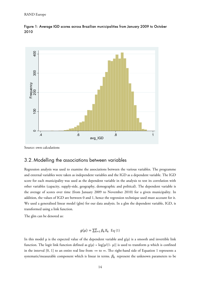

Figure 1: Average IGD scores across Brazilian municipalities from January 2009 to October 2010

Source: own calculations

#### 3.2. Modelling the associations between variables

Regression analysis was used to examine the associations between the various variables. The programme and external variables were taken as independent variables and the IGD as a dependent variable. The IGD score for each municipality was used as the dependent variable in the analysis to test its correlation with other variables (capacity, supply-side, geography, demographic and political). The dependent variable is the average of scores over time (from January 2009 to November 2010) for a given municipality. In addition, the values of IGD are between 0 and 1, hence the regression technique used must account for it. We used a generalised linear model (glm) for our data analysis. In a glm the dependent variable, IGD, is transformed using a link function.

The glm can be denoted as:

$$
g(\mu) = \sum_{k=1}^{K} \beta_k X_k \text{ Eq (1)}
$$

In this model  $\mu$  is the expected value of the dependent variable and  $g(\mu)$  is a smooth and invertible link function. The logit link function defined as  $g(\mu) = \log[\mu/(1-\mu)]$  is used to transform  $\mu$  which is confined in the interval [0, 1] to an entire real line from - $\infty$  to  $\infty$ . The right-hand side of Equation 1 represents a systematic/measurable component which is linear in terms.  $\beta_k$  represent the unknown parameters to be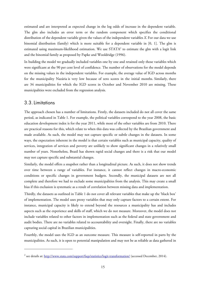estimated and are interpreted as expected change in the log odds of increase in the dependent variable. The glm also includes an error term or the random component which specifies the conditional distribution of the dependent variable given the values of the independent variables *X*. For our data we use binomial distribution (family) which is more suitable for a dependent variable in [0, 1]. The glm is estimated using maximum-likelihood estimation. We use  $STATA<sup>2</sup>$  to estimate the glm with a logit link and the binomial family as proposed by Papke and Wooldridge (1996).

In building the model we gradually included variables one by one and retained only those variables which were significant at the 90 per cent level of confidence. The number of observations for the model depends on the missing values in the independent variables. For example, the average value of IGD across months for the municipality Nazária is very low because of zero scores in the initial months. Similarly, there are 34 municipalities for which the IGD scores in October and November 2010 are missing. These municipalities were excluded from the regression analysis.

#### 3.3.Limitations

The approach chosen has a number of limitations. Firstly, the datasets included do not all cover the same period, as indicated in Table 1. For example, the political variables correspond to the year 2008, the basic education development index is for the year 2011, while most of the other variables are from 2010. There are practical reasons for this, which relate to when this data was collected by the Brazilian government and made available. As such, the model may not capture specific or subtle changes in the datasets. In some ways, the expectation inherent in the model is that certain variables such as municipal capacity, quality of services, integration of services and poverty are unlikely to show significant changes in a relatively small number of years. Nonetheless, Brazil has shown rapid social changes and there is a risk that our model may not capture specific and substantial changes.

Similarly, the model offers a snapshot rather than a longitudinal picture. As such, it does not show trends over time between a range of variables. For instance, it cannot reflect changes in macro-economic conditions or specific changes in government budgets. Secondly, the municipal datasets are not all complete and therefore we had to exclude some municipalities from the analysis. This may create a small bias if this exclusion is systematic as a result of correlation between missing data and implementation.

Thirdly, the datasets as outlined in Table 1 do not cover all relevant variables that make up the 'black box' of implementation. The model uses proxy variables that may only capture factors to a certain extent. For instance, municipal capacity is likely to extend beyond the resources a municipality has and includes aspects such as the experience and skills of staff, which we do not measure. Moreover, the model does not include variables related to other factors in implementation such as the federal and state government and audit bodies. There are no variables related to accountability and oversight. Finally, there are no variables capturing social capital in Brazilian municipalities.

Fourthly, the model uses the IGD as an outcome measure. This measure is self-reported in parts by the municipalities. As such, it is open to potential manipulation and may not be as reliable as data gathered in

<sup>&</sup>lt;sup>2</sup> see details at: <u>http://www.stata.com/support/faqs/statistics/logit-transformation/</u> (accessed December, 2014).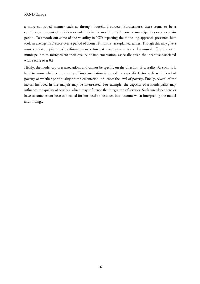a more controlled manner such as through household surveys. Furthermore, there seems to be a considerable amount of variation or volatility in the monthly IGD score of municipalities over a certain period. To smooth out some of the volatility in IGD reporting the modelling approach presented here took an average IGD score over a period of about 18 months, as explained earlier. Though this may give a more consistent picture of performance over time, it may not counter a determined effort by some municipalities to misrepresent their quality of implementation, especially given the incentive associated with a score over 0.8.

Fifthly, the model captures associations and cannot be specific on the direction of causality. As such, it is hard to know whether the quality of implementation is caused by a specific factor such as the level of poverty or whether poor quality of implementation influences the level of poverty. Finally, several of the factors included in the analysis may be interrelated. For example, the capacity of a municipality may influence the quality of services, which may influence the integration of services. Such interdependencies have to some extent been controlled for but need to be taken into account when interpreting the model and findings.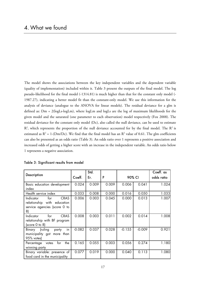The model shows the associations between the key independent variables and the dependent variable (quality of implementation) included within it. Table 3 present the outputs of the final model. The log pseudo-likelihood for the final model (-1314.81) is much higher than that for the constant only model (- 1987.27), indicating a better model fit than the constant-only model. We use this information for the analysis of deviance (analogue to the ANOVA for linear models). The residual deviance for a glm is defined as: Dm = 2(logLs-logLm), where logLm and logLs are the log of maximum likelihoods for the given model and the saturated (one parameter to each observation) model respectively (Fox 2008). The residual deviance for the constant only model (Dc), also called the null deviance, can be used to estimate  $R<sup>2</sup>$ , which represents the proportion of the null deviance accounted for by the final model. The  $R<sup>2</sup>$  is estimated as  $R^2 = 1$ -(Dm/Dc). We find that the final model has an  $R^2$  value of 0.61. The glm coefficients can also be presented as an odds ratio (Table 3). An odds ratio over 1 represents a positive association and increased odds of getting a higher score with an increase in the independent variable. An odds ratio below 1 represents a negative association.

|                                                                                                      |          | Std.  |       |          |          | Coeff. as  |
|------------------------------------------------------------------------------------------------------|----------|-------|-------|----------|----------|------------|
| <b>Description</b>                                                                                   | Coeff.   | Er.   | P     | 90% CI   |          | odds ratio |
| Basic education development<br>index                                                                 | 0.024    | 0.009 | 0.009 | 0.006    | 0.041    | 1.024      |
| Health service index                                                                                 | 0.033    | 0.008 | 0.000 | 0.016    | 0.050    | 1.033      |
| <b>CRAS</b><br>Indicator<br>for<br>relationship with education<br>service agencies (score 0 to<br>8) | 0.006    | 0.003 | 0.045 | 0.000    | 0.013    | 1.007      |
| for<br><b>CRAS</b><br>Indicator<br>relationship with BF program<br>(score 0 to 8)                    | 0.008    | 0.003 | 0.011 | 0.002    | 0.014    | 1.008      |
| (ruling<br>in<br>Binary<br>party<br>municipality got more than<br>95% votes)                         | $-0.082$ | 0.037 | 0.028 | $-0.155$ | $-0.009$ | 0.921      |
| for<br>the<br>Percentage<br>votes<br>winning party                                                   | 0.165    | 0.055 | 0.003 | 0.056    | 0.274    | 1.180      |
| Binary variable: presence of<br>food card in the municipality                                        | 0.077    | 0.019 | 0.000 | 0.040    | 0.113    | 1.080      |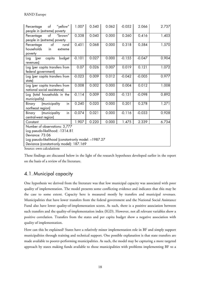| "yellow"<br>of<br>Percentage<br>people in (extreme) poverty                                                                                                                            | 1.007    | 0.540 | 0.062 | $-0.052$ | 2.066    | 2.737 |
|----------------------------------------------------------------------------------------------------------------------------------------------------------------------------------------|----------|-------|-------|----------|----------|-------|
| "brown"<br>of<br>Percentage<br>people in (extreme) poverty                                                                                                                             | 0.338    | 0.040 | 0.000 | 0.260    | 0.416    | 1.403 |
| $\circ$ f<br>rural<br>Percentage<br>households<br>in<br>extreme<br>poverty                                                                                                             | 0.451    | 0.068 | 0.000 | 0.318    | 0.584    | 1.570 |
| budget<br>capita<br>(per<br>Log<br>revenues)                                                                                                                                           | $-0.101$ | 0.027 | 0.000 | $-0.155$ | $-0.047$ | 0.904 |
| Log (per capita transfers from<br>federal government)                                                                                                                                  | 0.07     | 0.026 | 0.007 | 0.019    | 0.121    | 1.072 |
| Log (per capita transfers from<br>state)                                                                                                                                               | $-0.023$ | 0.009 | 0.012 | $-0.042$ | $-0.005$ | 0.977 |
| Log (per capita transfers from<br>national social assistance)                                                                                                                          | 0.008    | 0.002 | 0.000 | 0.004    | 0.012    | 1.008 |
| Log (total households in the<br>municipality)                                                                                                                                          | $-0.114$ | 0.009 | 0.000 | $-0.131$ | $-0.098$ | 0.892 |
| (municipality<br>in<br>Binary<br>northeast region)                                                                                                                                     | 0.240    | 0.020 | 0.000 | 0.201    | 0.278    | 1.271 |
| in<br>(municipality<br>Binary<br>central-west region)                                                                                                                                  | $-0.074$ | 0.021 | 0.000 | $-0.116$ | $-0.033$ | 0.928 |
| Constant                                                                                                                                                                               | 1.907    | 0.220 | 0.000 | 1.475    | 2.339    | 6.734 |
| Number of observations: 3,777<br>Log pseudo-likelihood: -1314.81<br>Deviance: 73.06<br>Log pseudo-likelihood (constant-only model: -1987.27<br>Deviance (constant-only model): 187.169 |          |       |       |          |          |       |

Source: own calculations

These findings are discussed below in the light of the research hypotheses developed earlier in the report on the basis of a review of the literature.

# 4.1. Municipal capacity

One hypothesis we derived from the literature was that low municipal capacity was associated with poor quality of implementation. The model presents some conflicting evidence and indicates that this may be the case to some extent. Capacity here is measured mostly by transfers and municipal revenues. Municipalities that have lower transfers from the federal government and the National Social Assistance Fund also have lower quality-of-implementation scores. As such, there is a positive association between such transfers and the quality-of-implementation index (IGD). However, not all relevant variables show a positive correlation. Transfers from the states and per capita budget show a negative association with quality of implementation.

How can this be explained? States have a relatively minor implementation role in BF and simply support municipalities through training and technical support. One possible explanation is that state transfers are made available to poorer-performing municipalities. As such, the model may be capturing a more targeted approach by states making funds available to those municipalities with problems implementing BF to a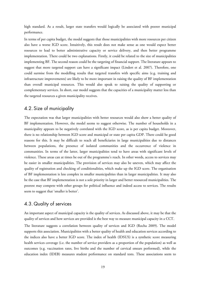high standard. As a result, larger state transfers would logically be associated with poorer municipal performance.

In terms of per capita budget, the model suggests that those municipalities with more resources per citizen also have a worse IGD score. Intuitively, this result does not make sense as one would expect better resources to lead to better administrative capacity or service delivery, and then better programme implementation. There could be two explanations. Firstly, it could be related to the size of municipalities implementing BF. The second reason could be the targeting of financial support. The literature appears to suggest that more targeted support can have a significant impact (Lindert et al. 2007). Therefore, one could surmise from the modelling results that targeted transfers with specific aims (e.g. training and infrastructure improvements) are likely to be more important in raising the quality of BF implementation than overall municipal resources. This would also speak to raising the quality of supporting or complementary services. In short, our model suggests that the capacities of a municipality matter less than the targeted resources a given municipality receives.

#### 4.2. Size of municipality

The expectation was that larger municipalities with better resources would also show a better quality of BF implementation. However, the model seems to suggest otherwise. The number of households in a municipality appears to be negatively correlated with the IGD score, as is per capita budget. Moreover, there is no relationship between IGD score and municipal or state per capita GDP. There could be good reasons for this. It may be difficult to reach all beneficiaries in large municipalities due to distances between populations, the presence of isolated communities and the occurrence of violence in communities. In terms of the latter, larger municipalities tend to have areas with significant levels of violence. These areas can at times be out of the programme's reach. In other words, access to services may be easier in smaller municipalities. The provision of services may also be uneven, which may affect the quality of registration and checking of conditionalities, which make up the IGD score. The organisation of BF implementation is less complex in smaller municipalities than in larger municipalities. It may also be the case that BF implementation is not a sole priority in larger and better resourced municipalities. The poorest may compete with other groups for political influence and indeed access to services. The results seem to suggest that 'smaller is better'.

#### 4.3. Quality of services

An important aspect of municipal capacity is the quality of services. As discussed above, it may be that the quality of services and how services are provided is the best way to measure municipal capacity in a CCT.

The literature suggests a correlation between quality of services and IGD (Rocha 2009). The model supports this association. Municipalities with a better quality of health and education services according to the indices also have a better IGD score. The index of health (IDSUS) is a synthetic score measuring health services coverage (i.e. the number of service providers as a proportion of the population) as well as outcomes (e.g. vaccination rates, live births and the number of cervical smears performed), while the education index (IDEB) measures student performance on standard tests. These associations seem to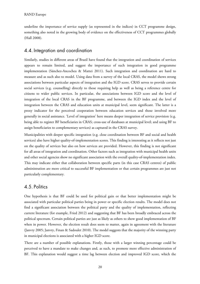underline the importance of service supply (as represented in the indices) in CCT programme design, something also noted in the growing body of evidence on the effectiveness of CCT programmes globally (Hall 2008).

#### 4.4. Integration and coordination

Similarly, studies in different areas of Brazil have found that the integration and coordination of services appears to remain limited, and suggest the importance of such integration in good programme implementation (Sánchez-Ancochea & Mattei 2011). Such integration and coordination are hard to measure and as such also to model. Using data from a survey of the local CRAS, the model shows strong associations between particular aspects of integration and the IGD score. CRAS serves to provide certain social services (e.g. counselling) directly to those requiring help as well as being a reference centre for citizens to wider public services. In particular, the associations between IGD score and the level of integration of the local CRAS in the BF programme, and between the IGD index and the level of integration between the CRAS and education units at municipal level, seem significant. The latter is a proxy indicator for the perceived cooperation between education services and those involved more generally in social assistance. 'Level of integration' here means deeper integration of service provision (e.g. being able to register BF beneficiaries in CRAS; cross-use of databases at municipal level; and using BF to assign beneficiaries to complementary services) as captured in the CRAS survey.

Municipalities with deeper specific integration (e.g. close coordination between BF and social and health services) also have higher quality-of-implementation scores. This finding is interesting as it reflects not just on the quality of services but also on how services are provided. However, this finding is not significant for all areas of integration and coordination. Other factors such as integration with municipal health units and other social agencies show no significant association with the overall quality-of-implementation index. This may indicate either that collaboration between specific parts (in this case CRAS centres) of public administration are more critical to successful BF implementation or that certain programmes are just not particularly complementary.

#### 4.5. Politics

One hypothesis is that BF could be used for political gain or that better implementation might be associated with particular political parties being in power or specific election results. The model does not find a significant association between the political party and the quality of implementation, reflecting current literature (for example, Fried 2012) and suggesting that BF has been broadly embraced across the political spectrum. Certain political parties are just as likely as others to show good implementation of BF when in power. However, the election result does seem to matter, again in agreement with the literature (Janvry 2005; Janvry, Finan & Sadoulet 2010). The model suggests that the majority of the winning party in municipal elections is associated with a higher IGD score.

There are a number of possible explanations. Firstly, those with a larger winning percentage could be perceived to have a mandate to make changes and, as such, to promote more effective administration of BF. This explanation would suggest a time lag between election and improved IGD score, which the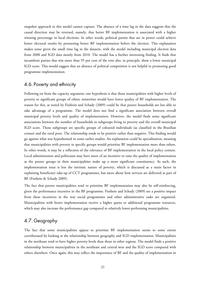snapshot approach in this model cannot capture. The absence of a time lag in the data suggests that the causal direction may be reversed, namely, that better BF implementation is associated with a higher winning percentage in local elections. In other words, political parties that are in power could achieve better electoral results by promoting better BF implementation before the election. This explanation makes sense given the small time lag in the datasets, with the model including municipal election data from 2008 and IGD data mostly from 2010. The model has a further interesting finding. It finds that incumbent parties that win more than 95 per cent of the vote also, in principle, show a lower municipal IGD score. This would suggest that an absence of political competition is not helpful in promoting good programme implementation.

#### 4.6. Poverty and ethnicity

Following on from the capacity argument, one hypothesis is that those municipalities with higher levels of poverty or significant groups of ethnic minorities would have lower quality of BF implementation. The reason for this, as noted by Fiszbein and Schady (2009) could be that poorer households are less able to take advantage of a programme. The model does not find a significant association between overall municipal poverty levels and quality of implementation. However, the model finds some significant associations between the number of households in subgroups living in poverty and the overall municipal IGD score. Those subgroups are specific groups of coloured individuals (as classified in the Brazilian census) and the rural poor. The relationship tends to be positive rather than negative. This finding would go against what was hypothesised in some earlier studies. An explanation could be specialisation, meaning that municipalities with poverty in specific groups would prioritise BF implementation more than others. In other words, it may be a reflection of the relevance of BF implementation in the local policy context. Local administrators and politicians may have more of an incentive to raise the quality of implementation as the poorer groups in their municipalities make up a more significant constituency. As such, the implementation issue is less the intrinsic nature of poverty, which is discussed as a main factor in explaining beneficiary take-up of CCT programmes, but more about how services are delivered as part of BF (Fiszbein & Schady 2009).

The fact that poorer municipalities tend to prioritise BF implementation may also be self-reinforcing, given the performance incentive in the BF programme. Fiszbein and Schady (2009) see a positive impact from these incentives in the way social programmes and other administrative tasks are organized. Municipalities with better implementation receive a higher quota or additional programme resources, which may also increase the performance gap compared to relatively lower-performing municipalities.

#### 4.7. Geography

The fact that some municipalities appear to prioritise BF implementation seems to some extent corroborated by looking at the relationship between geography and IGD implementation. Municipalities in the northeast tend to have higher poverty levels than those in other regions. The model finds a positive relationship between municipalities in the northeast and central west and the IGD score compared with others elsewhere. Once again, this may reflect the importance of BF and the quality of implementation in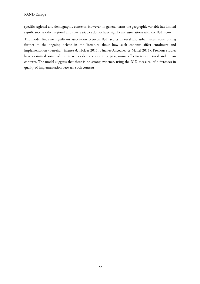specific regional and demographic contexts. However, in general terms the geographic variable has limited significance as other regional and state variables do not have significant associations with the IGD score.

The model finds no significant association between IGD scores in rural and urban areas, contributing further to the ongoing debate in the literature about how such contexts affect enrolment and implementation (Ferreira, Jimenez & Holzer 2011; Sánchez-Ancochea & Mattei 2011). Previous studies have examined some of the mixed evidence concerning programme effectiveness in rural and urban contexts. The model suggests that there is no strong evidence, using the IGD measure, of differences in quality of implementation between such contexts.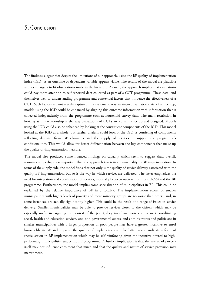The findings suggest that despite the limitations of our approach, using the BF quality-of-implementation index (IGD) as an outcome or dependent variable appears viable. The results of the model are plausible and seem largely to fit observations made in the literature. As such, the approach implies that evaluations could pay more attention to self-reported data collected as part of a CCT programme. These data lend themselves well to understanding programme and contextual factors that influence the effectiveness of a CCT. Such factors are not readily captured in a systematic way in impact evaluations. As a further step, models using the IGD could be enhanced by aligning this outcome information with information that is collected independently from the programme such as household survey data. The main restriction in looking at this relationship is the way evaluations of CCTs are currently set up and designed. Models using the IGD could also be enhanced by looking at the constituent components of the IGD. This model looked at the IGD as a whole, but further analysis could look at the IGD as consisting of components reflecting demand from BF claimants and the supply of services to support the programme's conditionalities. This would allow for better differentiation between the key components that make up the quality-of-implementation measure.

The model also produced some nuanced findings on capacity which seem to suggest that, overall, resources are perhaps less important than the approach taken in a municipality to BF implementation. In terms of the supply-side, the model finds that not only is the quality of service delivery associated with the quality BF implementation, but so is the way in which services are delivered. The latter emphasizes the need for integration and coordination of services, especially between outreach centres (CRAS) and the BF programme. Furthermore, the model implies some specialisation of municipalities in BF. This could be explained by the relative importance of BF in a locality. The implementation scores of smaller municipalities with higher levels of poverty and more minority groups are no worse than others, and, in some instances, are actually significantly higher. This could be the result of a range of issues in service delivery. Smaller municipalities may be able to provide services closer to the citizen (which may be especially useful in targeting the poorest of the poor); they may have more control over coordinating social, health and education services, and non-governmental actors; and administrators and politicians in smaller municipalities with a larger proportion of poor people may have a greater incentive to enrol households in BF and improve the quality of implementation. The latter would indicate a form of specialisation in BF implementation which may be self-reinforcing given the incentive offered to highperforming municipalities under the BF programme. A further implication is that the nature of poverty itself may not influence enrolment that much and that the quality and nature of service provision may matter more.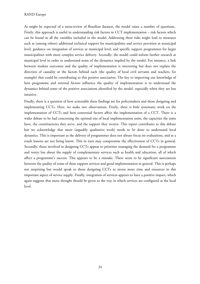As might be expected of a meta-review of Brazilian datasets, the model raises a number of questions.. Firstly, this approach is useful in understanding risk factors in CCT implementation – risk factors which can be found in all the variables included in the model. Addressing these risks might lead to measures such as (among others) additional technical support for municipalities and service provision at municipal level; guidance on integration of services at municipal level; and specific support programmes for larger municipalities with more complex service delivery. Secondly, the model could inform further research at municipal level in order to understand some of the dynamics implied by the model. For instance, a link between student outcomes and the quality of implementation is interesting but does not explain the direction of causality or the factors behind each (the quality of local civil servants and teachers, for example) that could be contributing to this positive association. The key to improving our knowledge of how programme and external factors influence the quality of implementation is to understand the dynamics behind some of the positive associations identified by the model, especially when they are less intuitive.

Finally, there is a question of how actionable these findings are for policymakers and those designing and implementing CCTs. Here, we make two observations. Firstly, there is little systematic work on the implementation of CCTs and how contextual factors affect the implementation of a CCT. There is a wider debate to be had concerning the optimal size of local implementation units, the capacities the units have, the constituencies they serve, and the support they receive. This report contributes to this debate but we acknowledge that more (arguably qualitative work) needs to be done to understand local dynamics. This is important as the delivery of programmes does not always focus on evaluations, and as a result lessons are not being learnt. This in turn may compromise the effectiveness of CCTs in general. Secondly, those involved in designing CCTs appear to prioritise managing the demand for a programme and worry less about the supply of complementary services such as health and education, all of which affect a programme's success. This appears to be a mistake. There seem to be significant associations between the quality of some of these support services and good implementation in general. This is perhaps not surprising but would speak to those designing CCTs to invest more time and resources in this important aspect of service supply. Finally, integration of services appears to have a positive impact, which again suggests that more thought should be given to the way in which services are configured at the local level.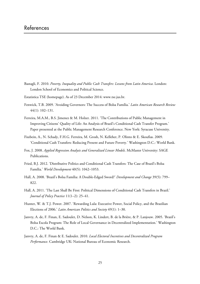- Bastagli, F. 2010. *Poverty, Inequality and Public Cash Transfers: Lessons from Latin America*. London: London School of Economics and Political Science.
- Estatistica TSE (homepage). As of 23 December 2014: [www.tse.jus.br.](http://www.tse.jus.br)
- Fenwick, T.B. 2009. 'Avoiding Governors: The Success of Bolsa Família.' *Latin American Research Review* 44(1): 102–131.
- Ferreira, M.A.M., B.S. Jimenez & M. Holzer. 2011. 'The Contributions of Public Management in Improving Citizens' Quality of Life: An Analysis of Brazil's Conditional Cash Transfer Program.' Paper presented at the Public Management Research Conference. New York: Syracuse University.
- Fiszbein, A., N. Schady, F.H.G. Ferreira, M. Grosh, N. Kelleher, P. Olinto & E. Skoufias. 2009. 'Conditional Cash Transfers: Reducing Present and Future Poverty.' Washington D.C.: World Bank.
- Fox, J. 2008. *Applied Regression Analysis and Generalized Linear Models*. McMaster University: SAGE Publications.
- Fried, B.J. 2012. 'Distributive Politics and Conditional Cash Transfers: The Case of Brazil's Bolsa Família.' *World Development* 40(5): 1042–1053.
- Hall, A. 2008. 'Brazil's Bolsa Família: A Double-Edged Sword?' *Development and Change* 39(5): 799– 822.
- Hall, A. 2011. 'The Last Shall Be First: Political Dimensions of Conditional Cash Transfers in Brazil.' *Journal of Policy Practice* 11(1–2): 25–41.
- Hunter, W. & T.J. Power. 2007. 'Rewarding Lula: Executive Power, Social Policy, and the Brazilian Elections of 2006.' *Latin American Politics and Society* 49(1): 1–30.
- Janvry, A. de, F. Finan, E. Sadoulet, D. Nelson, K. Lindert, B. de la Brière, & P. Lanjouw. 2005. 'Brazil's Bolsa Escola Program: The Role of Local Governance in Decentralized Implementation.' Washington D.C.: The World Bank.
- Janvry, A. de, F. Finan & E. Sadoulet. 2010. *Local Electoral Incentives and Decentralized Program Performance*. Cambridge UK: National Bureau of Economic Research.